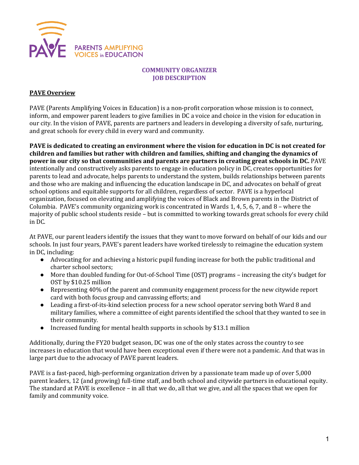

## **COMMUNITY ORGANIZER JOB DESCRIPTION**

#### **PAVE Overview**

PAVE (Parents Amplifying Voices in Education) is a non-profit corporation whose mission is to connect, inform, and empower parent leaders to give families in DC a voice and choice in the vision for education in our city. In the vision of PAVE, parents are partners and leaders in developing a diversity of safe, nurturing, and great schools for every child in every ward and community.

**PAVE** is dedicated to creating an environment where the vision for education in DC is not created for children and families but rather with children and families, shifting and changing the dynamics of **power in our city so that communities and parents are partners in creating great schools in DC.** PAVE intentionally and constructively asks parents to engage in education policy in DC, creates opportunities for parents to lead and advocate, helps parents to understand the system, builds relationships between parents and those who are making and influencing the education landscape in DC, and advocates on behalf of great school options and equitable supports for all children, regardless of sector. PAVE is a hyperlocal organization, focused on elevating and amplifying the voices of Black and Brown parents in the District of Columbia. PAVE's community organizing work is concentrated in Wards 1, 4, 5, 6, 7, and 8 - where the majority of public school students reside – but is committed to working towards great schools for every child in DC.

At PAVE, our parent leaders identify the issues that they want to move forward on behalf of our kids and our schools. In just four years, PAVE's parent leaders have worked tirelessly to reimagine the education system in DC, including:

- Advocating for and achieving a historic pupil funding increase for both the public traditional and charter school sectors;
- More than doubled funding for Out-of-School Time (OST) programs increasing the city's budget for OST by \$10.25 million
- Representing 40% of the parent and community engagement process for the new citywide report card with both focus group and canvassing efforts; and
- Leading a first-of-its-kind selection process for a new school operator serving both Ward 8 and military families, where a committee of eight parents identified the school that they wanted to see in their community.
- Increased funding for mental health supports in schools by \$13.1 million

Additionally, during the FY20 budget season, DC was one of the only states across the country to see increases in education that would have been exceptional even if there were not a pandemic. And that was in large part due to the advocacy of PAVE parent leaders.

PAVE is a fast-paced, high-performing organization driven by a passionate team made up of over 5,000 parent leaders, 12 (and growing) full-time staff, and both school and citywide partners in educational equity. The standard at PAVE is excellence – in all that we do, all that we give, and all the spaces that we open for family and community voice.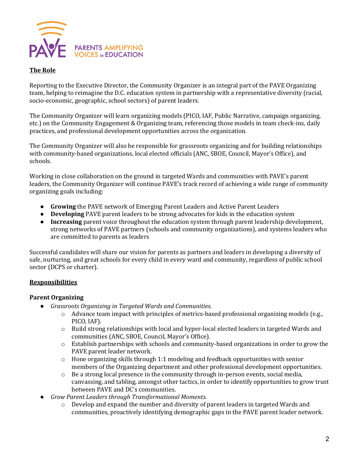

## **The Role**

Reporting to the Executive Director, the Community Organizer is an integral part of the PAVE Organizing team, helping to reimagine the D.C. education system in partnership with a representative diversity (racial, socio-economic, geographic, school sectors) of parent leaders.

The Community Organizer will learn organizing models (PICO, IAF, Public Narrative, campaign organizing, etc.) on the Community Engagement & Organizing team, referencing those models in team check-ins, daily practices, and professional development opportunities across the organization.

The Community Organizer will also be responsible for grassroots organizing and for building relationships with community-based organizations, local elected officials (ANC, SBOE, Council, Mayor's Office), and schools.

Working in close collaboration on the ground in targeted Wards and communities with PAVE's parent leaders, the Community Organizer will continue PAVE's track record of achieving a wide range of community organizing goals including:

- **Growing** the PAVE network of Emerging Parent Leaders and Active Parent Leaders
- **Developing** PAVE parent leaders to be strong advocates for kids in the education system
- **Increasing** parent voice throughout the education system through parent leadership development, strong networks of PAVE partners (schools and community organizations), and systems leaders who are committed to parents as leaders

Successful candidates will share our vision for parents as partners and leaders in developing a diversity of safe, nurturing, and great schools for every child in every ward and community, regardless of public school sector (DCPS or charter).

# **Responsibilities**

## **Parent Organizing**

- *Grassroots Organizing in Targeted Wards and Communities.*
	- $\circ$  Advance team impact with principles of metrics-based professional organizing models (e.g., PICO, IAF).
	- o Build strong relationships with local and hyper-local elected leaders in targeted Wards and communities (ANC, SBOE, Council, Mayor's Office).
	- $\circ$  Establish partnerships with schools and community-based organizations in order to grow the PAVE parent leader network.
	- $\circ$  Hone organizing skills through 1:1 modeling and feedback opportunities with senior members of the Organizing department and other professional development opportunities.
	- $\circ$  Be a strong local presence in the community through in-person events, social media, canvassing, and tabling, amongst other tactics, in order to identify opportunities to grow trust between PAVE and DC's communities.
- Grow Parent Leaders through Transformational Moments.
	- $\circ$  Develop and expand the number and diversity of parent leaders in targeted Wards and communities, proactively identifying demographic gaps in the PAVE parent leader network.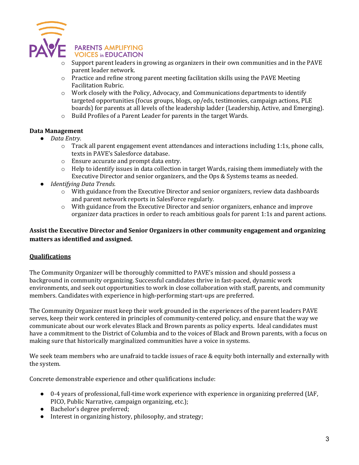

- Support parent leaders in growing as organizers in their own communities and in the PAVE parent leader network.
- $\circ$  Practice and refine strong parent meeting facilitation skills using the PAVE Meeting Facilitation Rubric.
- $\circ$  Work closely with the Policy, Advocacy, and Communications departments to identify targeted opportunities (focus groups, blogs, op/eds, testimonies, campaign actions, PLE boards) for parents at all levels of the leadership ladder (Leadership, Active, and Emerging).
- $\circ$  Build Profiles of a Parent Leader for parents in the target Wards.

# **Data Management**

- *Data Entry.*
	- $\circ$  Track all parent engagement event attendances and interactions including 1:1s, phone calls, texts in PAVE's Salesforce database.
	- $\circ$  Ensure accurate and prompt data entry.
	- $\circ$  Help to identify issues in data collection in target Wards, raising them immediately with the Executive Director and senior organizers, and the Ops & Systems teams as needed.
- *Identifying Data Trends.* 
	- $\circ$  With guidance from the Executive Director and senior organizers, review data dashboards and parent network reports in SalesForce regularly.
	- o With guidance from the Executive Director and senior organizers, enhance and improve organizer data practices in order to reach ambitious goals for parent 1:1s and parent actions.

# Assist the Executive Director and Senior Organizers in other community engagement and organizing **matters** as identified and assigned.

## **Qualifications**

The Community Organizer will be thoroughly committed to PAVE's mission and should possess a background in community organizing. Successful candidates thrive in fast-paced, dynamic work environments, and seek out opportunities to work in close collaboration with staff, parents, and community members. Candidates with experience in high-performing start-ups are preferred.

The Community Organizer must keep their work grounded in the experiences of the parent leaders PAVE serves, keep their work centered in principles of community-centered policy, and ensure that the way we communicate about our work elevates Black and Brown parents as policy experts. Ideal candidates must have a commitment to the District of Columbia and to the voices of Black and Brown parents, with a focus on making sure that historically marginalized communities have a voice in systems.

We seek team members who are unafraid to tackle issues of race & equity both internally and externally with the system.

Concrete demonstrable experience and other qualifications include:

- 0-4 years of professional, full-time work experience with experience in organizing preferred (IAF, PICO, Public Narrative, campaign organizing, etc.);
- Bachelor's degree preferred;
- Interest in organizing history, philosophy, and strategy;